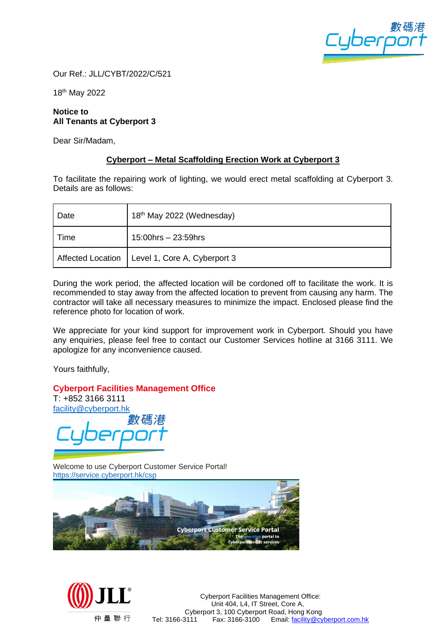

Our Ref.: JLL/CYBT/2022/C/521

18 th May 2022

## **Notice to All Tenants at Cyberport 3**

Dear Sir/Madam,

## **Cyberport – Metal Scaffolding Erection Work at Cyberport 3**

To facilitate the repairing work of lighting, we would erect metal scaffolding at Cyberport 3. Details are as follows:

| Date | 18 <sup>th</sup> May 2022 (Wednesday)            |
|------|--------------------------------------------------|
| Time | $15:00$ hrs $-23:59$ hrs                         |
|      | Affected Location   Level 1, Core A, Cyberport 3 |

During the work period, the affected location will be cordoned off to facilitate the work. It is recommended to stay away from the affected location to prevent from causing any harm. The contractor will take all necessary measures to minimize the impact. Enclosed please find the reference photo for location of work.

We appreciate for your kind support for improvement work in Cyberport. Should you have any enquiries, please feel free to contact our Customer Services hotline at 3166 3111. We apologize for any inconvenience caused.

Yours faithfully,

**Cyberport Facilities Management Office**

T: +852 3166 3111 [facility@cyberport.hk](mailto:facility@cyberport.hk)

數碼

Welcome to use Cyberport Customer Service Portal! <https://service.cyberport.hk/csp>